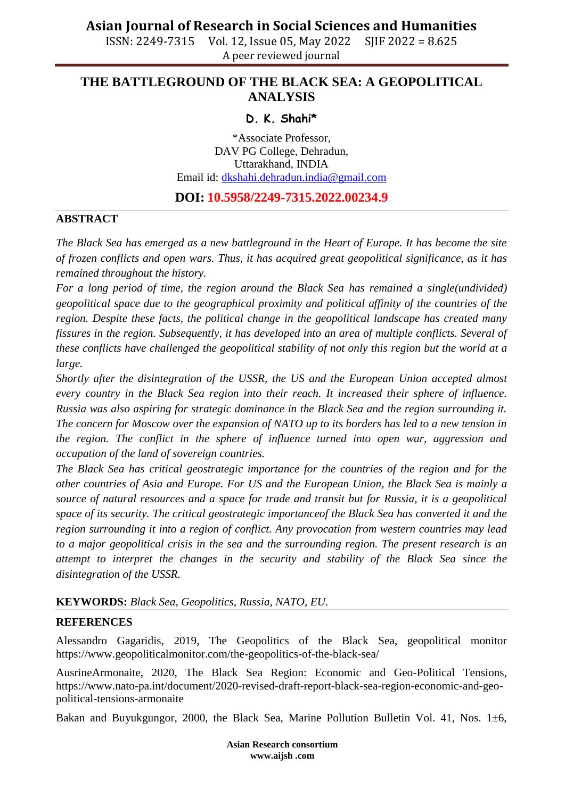## **THE BATTLEGROUND OF THE BLACK SEA: A GEOPOLITICAL ANALYSIS**

### **D. K. Shahi\***

\*Associate Professor, DAV PG College, Dehradun, Uttarakhand, INDIA Email id: [dkshahi.dehradun.india@gmail.com](mailto:dkshahi.dehradun.india@gmail.com)

## **DOI: 10.5958/2249-7315.2022.00234.9**

### **ABSTRACT**

*The Black Sea has emerged as a new battleground in the Heart of Europe. It has become the site of frozen conflicts and open wars. Thus, it has acquired great geopolitical significance, as it has remained throughout the history.*

*For a long period of time, the region around the Black Sea has remained a single(undivided) geopolitical space due to the geographical proximity and political affinity of the countries of the region. Despite these facts, the political change in the geopolitical landscape has created many fissures in the region. Subsequently, it has developed into an area of multiple conflicts. Several of these conflicts have challenged the geopolitical stability of not only this region but the world at a large.* 

*Shortly after the disintegration of the USSR, the US and the European Union accepted almost every country in the Black Sea region into their reach. It increased their sphere of influence. Russia was also aspiring for strategic dominance in the Black Sea and the region surrounding it. The concern for Moscow over the expansion of NATO up to its borders has led to a new tension in the region. The conflict in the sphere of influence turned into open war, aggression and occupation of the land of sovereign countries.*

*The Black Sea has critical geostrategic importance for the countries of the region and for the other countries of Asia and Europe. For US and the European Union, the Black Sea is mainly a source of natural resources and a space for trade and transit but for Russia, it is a geopolitical space of its security. The critical geostrategic importanceof the Black Sea has converted it and the region surrounding it into a region of conflict. Any provocation from western countries may lead to a major geopolitical crisis in the sea and the surrounding region. The present research is an attempt to interpret the changes in the security and stability of the Black Sea since the disintegration of the USSR.*

#### **KEYWORDS:** *Black Sea, Geopolitics, Russia, NATO, EU.*

#### **REFERENCES**

Alessandro Gagaridis, 2019, The Geopolitics of the Black Sea, geopolitical monitor https://www.geopoliticalmonitor.com/the-geopolitics-of-the-black-sea/

AusrineArmonaite, 2020, The Black Sea Region: Economic and Geo-Political Tensions, https://www.nato-pa.int/document/2020-revised-draft-report-black-sea-region-economic-and-geopolitical-tensions-armonaite

Bakan and Buyukgungor, 2000, the Black Sea, Marine Pollution Bulletin Vol. 41, Nos. 1±6,